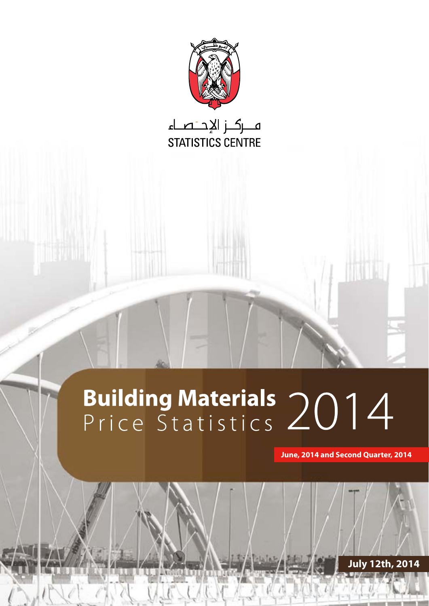

فركز الإجتصاء STATISTICS CENTRE

# **Building Materials 2014**

**June, 2014 and Second Quarter, 2014** 

**July 12th, 2014**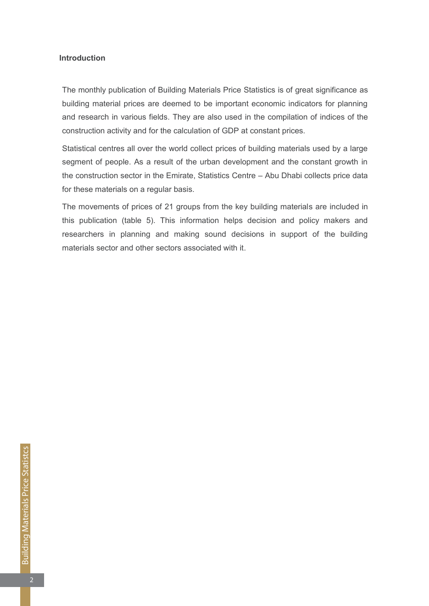# **Introduction**

The monthly publication of Building Materials Price Statistics is of great significance as building material prices are deemed to be important economic indicators for planning and research in various fields. They are also used in the compilation of indices of the construction activity and for the calculation of GDP at constant prices.

Statistical centres all over the world collect prices of building materials used by a large segment of people. As a result of the urban development and the constant growth in the construction sector in the Emirate, Statistics Centre – Abu Dhabi collects price data for these materials on a regular basis.

The movements of prices of 21 groups from the key building materials are included in this publication (table 5). This information helps decision and policy makers and researchers in planning and making sound decisions in support of the building materials sector and other sectors associated with it.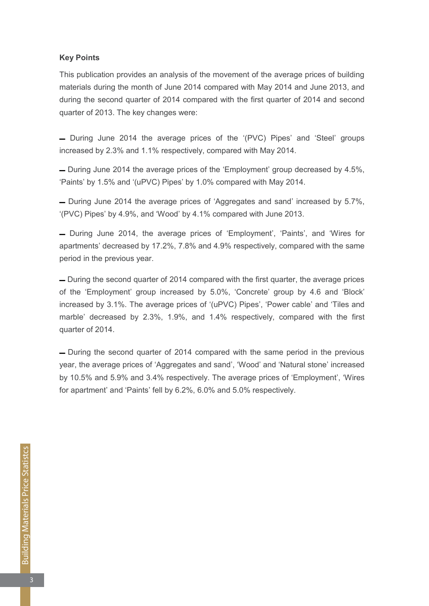#### **Key Points**

This publication provides an analysis of the movement of the average prices of building materials during the month of June 2014 compared with May 2014 and June 2013, and during the second quarter of 2014 compared with the first quarter of 2014 and second quarter of 2013. The key changes were:

- During June 2014 the average prices of the '(PVC) Pipes' and 'Steel' groups increased by 2.3% and 1.1% respectively, compared with May 2014.

 $-$  During June 2014 the average prices of the 'Employment' group decreased by 4.5%. 'Paints' by 1.5% and '(uPVC) Pipes' by 1.0% compared with May 2014.

 $-$  During June 2014 the average prices of 'Aggregates and sand' increased by 5.7%. '(PVC) Pipes' by 4.9%, and 'Wood' by 4.1% compared with June 2013.

 $\overline{\phantom{a}}$  During June 2014, the average prices of 'Employment', 'Paints', and 'Wires for apartments' decreased by 17.2%, 7.8% and 4.9% respectively, compared with the same period in the previous year.

- During the second quarter of 2014 compared with the first quarter, the average prices of the 'Employment' group increased by 5.0%, 'Concrete' group by 4.6 and 'Block' increased by 3.1%. The average prices of '(uPVC) Pipes', 'Power cable' and 'Tiles and marble' decreased by 2.3%, 1.9%, and 1.4% respectively, compared with the first quarter of 2014.

**−** During the second quarter of 2014 compared with the same period in the previous year, the average prices of 'Aggregates and sand', 'Wood' and 'Natural stone' increased by 10.5% and 5.9% and 3.4% respectively. The average prices of 'Employment', 'Wires for apartment' and 'Paints' fell by  $6.2\%$ ,  $6.0\%$  and  $5.0\%$  respectively.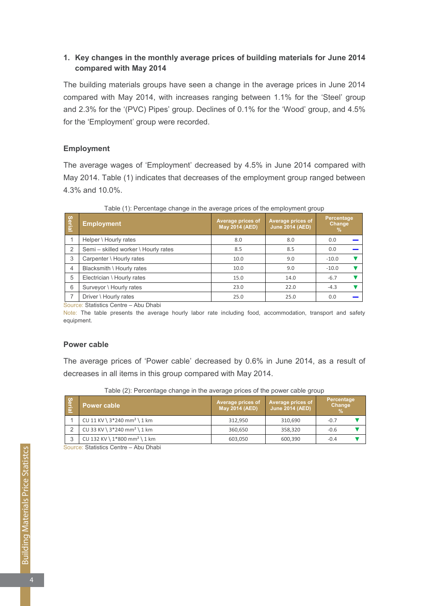# **1. Key changes in the monthly average prices of building materials for June 2014 2014 compared** with May 2014

The building materials groups have seen a change in the average prices in June 2014 compared with May 2014, with increases ranging between 1.1% for the 'Steel' group and 2.3% for the '(PVC) Pipes' group. Declines of 0.1% for the 'Wood' group, and 4.5% for the 'Employment' group were recorded.

# **Employment**

The average wages of 'Employment' decreased by 4.5% in June 2014 compared with May 2014. Table (1) indicates that decreases of the employment group ranged between 4.3% and 10.0%.

| <b>Serial</b>  | <b>Employment</b>                    | Average prices of<br>May 2014 (AED) | Average prices of<br><b>June 2014 (AED)</b> | Percentage<br>Change<br>$\%$ |
|----------------|--------------------------------------|-------------------------------------|---------------------------------------------|------------------------------|
|                | Helper \ Hourly rates                | 8.0                                 | 8.0                                         | 0.0                          |
| $\mathcal{P}$  | Semi - skilled worker \ Hourly rates | 8.5                                 | 8.5                                         | 0.0                          |
| 3              | Carpenter \ Hourly rates             | 10.0                                | 9.0                                         | $-10.0$                      |
| $\overline{4}$ | Blacksmith \ Hourly rates            | 10.0                                | 9.0                                         | $-10.0$                      |
| 5              | Electrician \ Hourly rates           | 15.0                                | 14.0                                        | $-6.7$                       |
| 6              | Surveyor \ Hourly rates              | 23.0                                | 22.0                                        | $-4.3$                       |
|                | Driver \ Hourly rates                | 25.0                                | 25.0                                        | 0.0                          |

Table (1): Percentage change in the average prices of the employment group

Source: Statistics Centre - Abu Dhabi

Note: The table presents the average hourly labor rate including food, accommodation, transport and safety .equipment

## **Power** cable

The average prices of 'Power cable' decreased by 0.6% in June 2014, as a result of decreases in all items in this group compared with May 2014.

| Serial | Power cable \                              | Average prices of<br><b>May 2014 (AED)</b> | Average prices of<br><b>June 2014 (AED)</b> | <b>Percentage</b><br>Change<br>$\frac{9}{6}$ |  |
|--------|--------------------------------------------|--------------------------------------------|---------------------------------------------|----------------------------------------------|--|
|        | CU 11 KV \ $3*240$ mm <sup>2</sup> \ 1 km  | 312.950                                    | 310,690                                     | $-0.7$                                       |  |
|        | CU 33 KV \ $3*240$ mm <sup>2</sup> \ 1 km  | 360.650                                    | 358,320                                     | $-0.6$                                       |  |
| 3      | CU 132 KV \ $1*800$ mm <sup>2</sup> \ 1 km | 603.050                                    | 600,390                                     | $-0.4$                                       |  |

Table (2): Percentage change in the average prices of the power cable group

Source: Statistics Centre – Abu Dhabi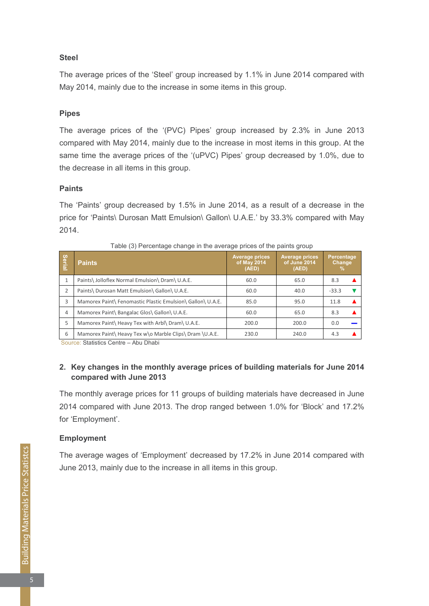# **Steel**

The average prices of the 'Steel' group increased by 1.1% in June 2014 compared with May 2014, mainly due to the increase in some items in this group.

# **Pipes**

The average prices of the '(PVC) Pipes' group increased by 2.3% in June 2013 compared with May 2014, mainly due to the increase in most items in this group. At the same time the average prices of the  $'(uPVC)$  Pipes' group decreased by 1.0%, due to the decrease in all items in this group.

## **Paints**

The 'Paints' group decreased by 1.5% in June 2014, as a result of a decrease in the price for 'Paints\ Durosan Matt Emulsion\ Gallon\ U.A.E.' by 33.3% compared with May 2014.

| Serial       | <b>Paints</b>                                              | <b>Average prices</b><br>of May 2014<br>(AED) | <b>Average prices</b><br>of June 2014<br>(AED) | Percentage<br>Change<br>℅ |
|--------------|------------------------------------------------------------|-----------------------------------------------|------------------------------------------------|---------------------------|
| $\mathbf{1}$ | Paints\ Jolloflex Normal Emulsion\ Dram\ U.A.E.            | 60.0                                          | 65.0                                           | 8.3                       |
| 2            | Paints\ Durosan Matt Emulsion\ Gallon\ U.A.E.              | 60.0                                          | 40.0                                           | $-33.3$                   |
| 3            | Mamorex Paint\ Fenomastic Plastic Emulsion\ Gallon\ U.A.E. | 85.0                                          | 95.0                                           | 11.8                      |
| 4            | Mamorex Paint\ Bangalac Glos\ Gallon\ U.A.E.               | 60.0                                          | 65.0                                           | 8.3                       |
| 5            | Mamorex Paint\ Heavy Tex with Arbl\ Dram\ U.A.E.           | 200.0                                         | 200.0                                          | 0.0                       |
| 6            | Mamorex Paint\ Heavy Tex w\o Marble Clips\ Dram \U.A.E.    | 230.0                                         | 240.0                                          | 4.3                       |

Source: Statistics Centre - Abu Dhabi

# 2. Key changes in the monthly average prices of building materials for June 2014 **2013 compared** with June 2013

The monthly average prices for 11 groups of building materials have decreased in June 2014 compared with June 2013. The drop ranged between 1.0% for 'Block' and 17.2% for 'Employment'.

#### **Employment**

The average wages of 'Employment' decreased by 17.2% in June 2014 compared with June 2013, mainly due to the increase in all items in this group.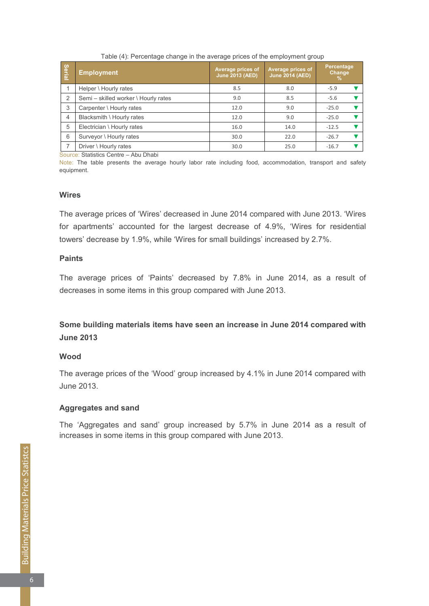| <b>Serial</b>  | <b>Employment</b>                    | <b>Average prices of</b><br><b>June 2013 (AED)</b> | Average prices of<br><b>June 2014 (AED)</b> | Percentage<br>Change<br>$\%$ |
|----------------|--------------------------------------|----------------------------------------------------|---------------------------------------------|------------------------------|
|                | Helper \ Hourly rates                | 8.5                                                | 8.0                                         | $-5.9$                       |
| 2              | Semi - skilled worker \ Hourly rates | 9.0                                                | 8.5                                         | $-5.6$                       |
| 3              | Carpenter \ Hourly rates             | 12.0                                               | 9.0                                         | $-25.0$                      |
| $\overline{4}$ | Blacksmith \ Hourly rates            | 12.0                                               | 9.0                                         | $-25.0$                      |
| 5              | Electrician \ Hourly rates           | 16.0                                               | 14.0                                        | $-12.5$                      |
| 6              | Surveyor \ Hourly rates              | 30.0                                               | 22.0                                        | $-26.7$                      |
|                | Driver \ Hourly rates                | 30.0                                               | 25.0                                        | $-16.7$                      |

Table (4): Percentage change in the average prices of the employment group

Source: Statistics Centre - Abu Dhabi

Note: The table presents the average hourly labor rate including food, accommodation, transport and safety .equipment

#### **Wires**

The average prices of 'Wires' decreased in June 2014 compared with June 2013. 'Wires for apartments' accounted for the largest decrease of 4.9%, 'Wires for residential towers' decrease by 1.9%, while 'Wires for small buildings' increased by 2.7%.

# **Paints**

The average prices of 'Paints' decreased by 7.8% in June 2014, as a result of decreases in some items in this group compared with June 2013.

# **Some building materials items have seen an increase in June 2014 compared with 2013 June**

# **Wood**

The average prices of the 'Wood' group increased by 4.1% in June 2014 compared with 2013. June

# **Aggregates and sand**

The 'Aggregates and sand' group increased by 5.7% in June 2014 as a result of increases in some items in this group compared with June 2013.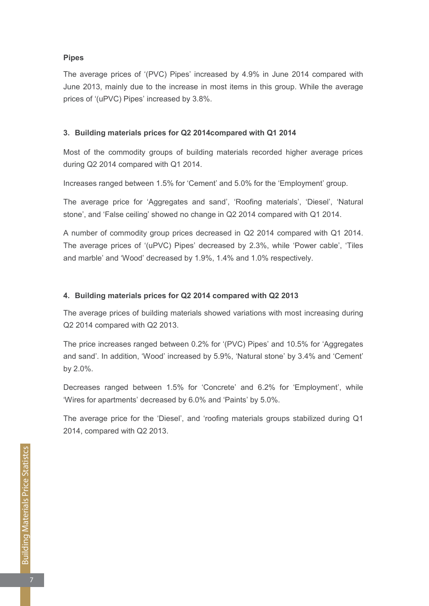# **Pipes**

The average prices of '(PVC) Pipes' increased by 4.9% in June 2014 compared with June 2013, mainly due to the increase in most items in this group. While the average prices of '(uPVC) Pipes' increased by 3.8%.

# **2014** 3. Building materials prices for Q2 2014 compared with Q1 2014

Most of the commodity groups of building materials recorded higher average prices during  $Q2$  2014 compared with  $Q1$  2014.

Increases ranged between 1.5% for 'Cement' and 5.0% for the 'Employment' group.

The average price for 'Aggregates and sand', 'Roofing materials', 'Diesel', 'Natural stone', and 'False ceiling' showed no change in Q2 2014 compared with Q1 2014.

A number of commodity group prices decreased in Q2 2014 compared with Q1 2014. The average prices of '(uPVC) Pipes' decreased by 2.3%, while 'Power cable', 'Tiles and marble' and 'Wood' decreased by 1.9%, 1.4% and 1.0% respectively.

## 4. Building materials prices for Q2 2014 compared with Q2 2013

The average prices of building materials showed variations with most increasing during  $Q2$  2014 compared with  $Q2$  2013.

The price increases ranged between 0.2% for '(PVC) Pipes' and 10.5% for 'Aggregates and sand'. In addition, 'Wood' increased by 5.9%, 'Natural stone' by 3.4% and 'Cement' by 2.0%.

Decreases ranged between 1.5% for 'Concrete' and 6.2% for 'Employment', while 'Wires for apartments' decreased by 6.0% and 'Paints' by 5.0%.

The average price for the 'Diesel', and 'roofing materials groups stabilized during  $Q1$  $2014$ , compared with Q2 2013.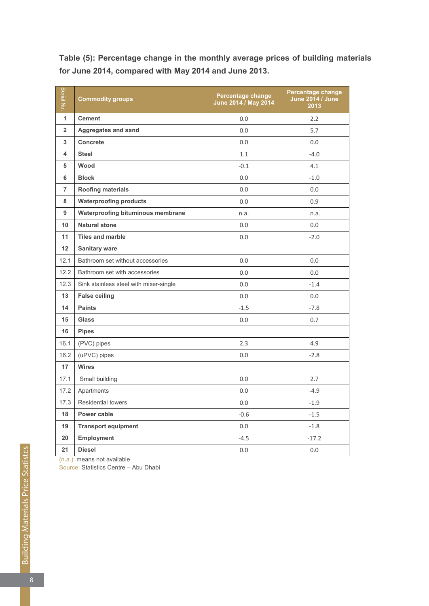| Serial No.     | <b>Commodity groups</b>                | Percentage change<br>June 2014 / May 2014 | Percentage change<br><b>June 2014 / June</b><br>2013 |
|----------------|----------------------------------------|-------------------------------------------|------------------------------------------------------|
| 1              | <b>Cement</b>                          | 0.0                                       | 2.2                                                  |
| $\overline{2}$ | <b>Aggregates and sand</b>             | 0.0                                       | 5.7                                                  |
| 3              | <b>Concrete</b>                        | 0.0                                       | 0.0                                                  |
| 4              | <b>Steel</b>                           | 1.1                                       | $-4.0$                                               |
| 5              | Wood                                   | $-0.1$                                    | 4.1                                                  |
| 6              | <b>Block</b>                           | 0.0                                       | $-1.0$                                               |
| $\overline{7}$ | Roofing materials                      | 0.0                                       | 0.0                                                  |
| 8              | <b>Waterproofing products</b>          | 0.0                                       | 0.9                                                  |
| 9              | Waterproofing bituminous membrane      | n.a.                                      | n.a.                                                 |
| 10             | <b>Natural stone</b>                   | 0.0                                       | 0.0                                                  |
| 11             | <b>Tiles and marble</b>                | 0.0                                       | $-2.0$                                               |
| 12             | <b>Sanitary ware</b>                   |                                           |                                                      |
| 12.1           | Bathroom set without accessories       | 0.0                                       | 0.0                                                  |
| 12.2           | Bathroom set with accessories          | 0.0                                       | 0.0                                                  |
| 12.3           | Sink stainless steel with mixer-single | 0.0                                       | $-1.4$                                               |
| 13             | <b>False ceiling</b>                   | 0.0                                       | 0.0                                                  |
| 14             | <b>Paints</b>                          | $-1.5$                                    | $-7.8$                                               |
| 15             | <b>Glass</b>                           | 0.0                                       | 0.7                                                  |
| 16             | <b>Pipes</b>                           |                                           |                                                      |
| 16.1           | (PVC) pipes                            | 2.3                                       | 4.9                                                  |
| 16.2           | (uPVC) pipes                           | 0.0                                       | $-2.8$                                               |
| 17             | <b>Wires</b>                           |                                           |                                                      |
| 17.1           | Small building                         | 0.0                                       | 2.7                                                  |
| 17.2           | Apartments                             | 0.0                                       | $-4.9$                                               |
| 17.3           | <b>Residential towers</b>              | 0.0                                       | $-1.9$                                               |
| 18             | Power cable                            | $-0.6$                                    | $-1.5$                                               |
| 19             | <b>Transport equipment</b>             | 0.0                                       | $-1.8$                                               |
| 20             | Employment                             | $-4.5$                                    | $-17.2$                                              |
| 21             | <b>Diesel</b>                          | 0.0                                       | 0.0                                                  |

Table (5): Percentage change in the monthly average prices of building materials for June 2014, compared with May 2014 and June 2013.

 $(n.a.)$ : means not available

Source: Statistics Centre – Abu Dhabi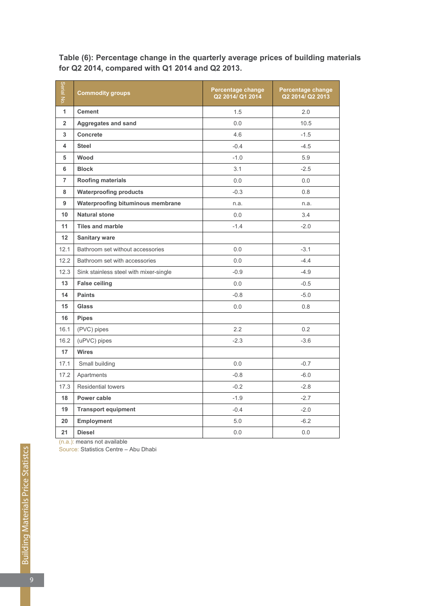| Serial No      | <b>Commodity groups</b>                | Percentage change<br>Q2 2014/ Q1 2014 | Percentage change<br>Q2 2014/ Q2 2013 |
|----------------|----------------------------------------|---------------------------------------|---------------------------------------|
| 1              | <b>Cement</b>                          | 1.5                                   | 2.0                                   |
| $\overline{2}$ | <b>Aggregates and sand</b>             | 0.0                                   | 10.5                                  |
| 3              | Concrete                               | 4.6                                   | $-1.5$                                |
| 4              | <b>Steel</b>                           | $-0.4$                                | $-4.5$                                |
| 5              | Wood                                   | $-1.0$                                | 5.9                                   |
| 6              | <b>Block</b>                           | 3.1                                   | $-2.5$                                |
| $\overline{7}$ | <b>Roofing materials</b>               | 0.0                                   | 0.0                                   |
| 8              | <b>Waterproofing products</b>          | $-0.3$                                | 0.8                                   |
| 9              | Waterproofing bituminous membrane      | n.a.                                  | n.a.                                  |
| 10             | <b>Natural stone</b>                   | 0.0                                   | 3.4                                   |
| 11             | <b>Tiles and marble</b>                | $-1.4$                                | $-2.0$                                |
| 12             | <b>Sanitary ware</b>                   |                                       |                                       |
| 12.1           | Bathroom set without accessories       | 0.0                                   | $-3.1$                                |
| 12.2           | Bathroom set with accessories          | 0.0                                   | $-4.4$                                |
| 12.3           | Sink stainless steel with mixer-single | $-0.9$                                | $-4.9$                                |
| 13             | <b>False ceiling</b>                   | 0.0                                   | $-0.5$                                |
| 14             | <b>Paints</b>                          | $-0.8$                                | $-5.0$                                |
| 15             | <b>Glass</b>                           | 0.0                                   | 0.8                                   |
| 16             | <b>Pipes</b>                           |                                       |                                       |
| 16.1           | (PVC) pipes                            | 2.2                                   | 0.2                                   |
| 16.2           | (uPVC) pipes                           | $-2.3$                                | $-3.6$                                |
| 17             | <b>Wires</b>                           |                                       |                                       |
| 17.1           | Small building                         | 0.0                                   | $-0.7$                                |
| 17.2           | Apartments                             | $-0.8$                                | $-6.0$                                |
| 17.3           | <b>Residential towers</b>              | $-0.2$                                | $-2.8$                                |
| 18             | Power cable                            | $-1.9$                                | $-2.7$                                |
| 19             | <b>Transport equipment</b>             | $-0.4$                                | $-2.0$                                |
| 20             | <b>Employment</b>                      | 5.0                                   | $-6.2$                                |
| 21             | <b>Diesel</b>                          | 0.0                                   | 0.0                                   |

Table (6): Percentage change in the quarterly average prices of building materials for Q2 2014, compared with Q1 2014 and Q2 2013.

 $(n.a.)$ : means not available

Source: Statistics Centre – Abu Dhabi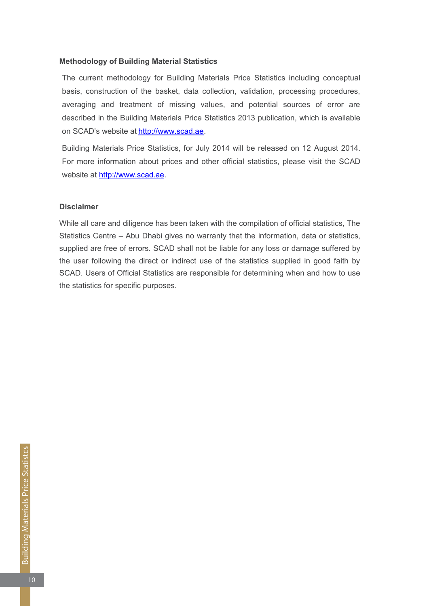#### **Methodology of Building Material Statistics**

The current methodology for Building Materials Price Statistics including conceptual basis, construction of the basket, data collection, validation, processing procedures, averaging and treatment of missing values, and potential sources of error are described in the Building Materials Price Statistics 2013 publication, which is available on SCAD's website at http://www.scad.ae.

Building Materials Price Statistics, for July 2014 will be released on 12 August 2014. For more information about prices and other official statistics, please visit the SCAD website at http://www.scad.ae.

#### **Disclaimer**

While all care and diligence has been taken with the compilation of official statistics, The Statistics Centre – Abu Dhabi gives no warranty that the information, data or statistics, supplied are free of errors. SCAD shall not be liable for any loss or damage suffered by the user following the direct or indirect use of the statistics supplied in good faith by SCAD. Users of Official Statistics are responsible for determining when and how to use the statistics for specific purposes.